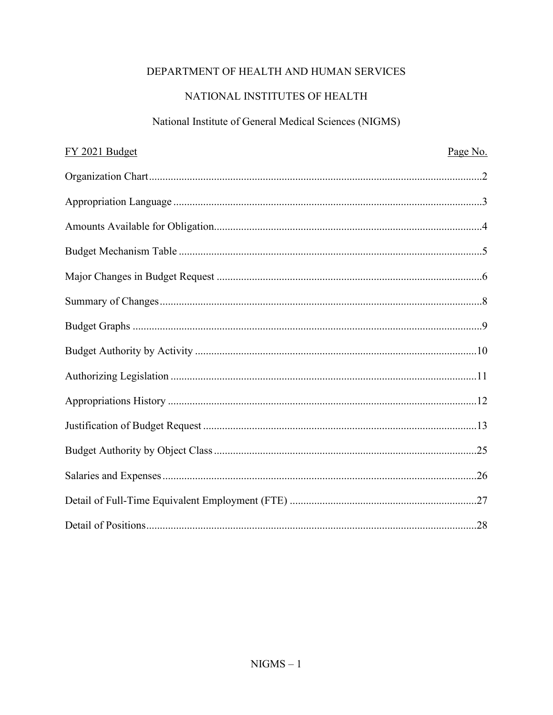# DEPARTMENT OF HEALTH AND HUMAN SERVICES

# NATIONAL INSTITUTES OF HEALTH

# National Institute of General Medical Sciences (NIGMS)

| FY 2021 Budget | Page No. |
|----------------|----------|
|                |          |
|                |          |
|                |          |
|                |          |
|                |          |
|                |          |
|                |          |
|                |          |
|                |          |
|                |          |
|                |          |
|                |          |
|                |          |
|                |          |
|                |          |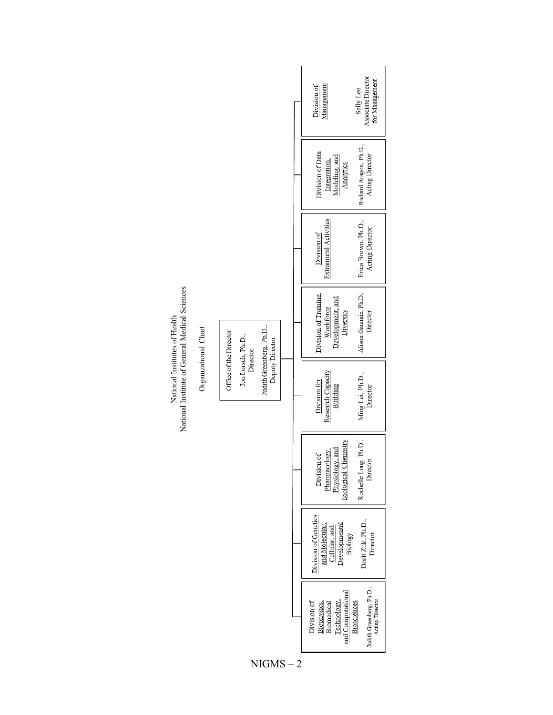|                                                       |                                                          |                                             |              |                                                      | Management<br>Division of                                                            | Associate Director<br>for Management<br>Sally Lee          |
|-------------------------------------------------------|----------------------------------------------------------|---------------------------------------------|--------------|------------------------------------------------------|--------------------------------------------------------------------------------------|------------------------------------------------------------|
|                                                       |                                                          |                                             |              |                                                      | Division of Data<br>Modeling, and<br>Integration,<br>Analytics                       | Richard Aragon, Ph.D.,<br>Acting Director                  |
|                                                       |                                                          |                                             |              |                                                      | <b>Extramural Activities</b><br>Division of                                          | Erica Brown, Ph.D.,<br>Acting Director                     |
| National Institute of General Medical Sciences        |                                                          |                                             |              |                                                      | Division of Training,<br>Development, and<br>Workforce<br>Diversity                  | Alison Gammie, Ph.D.,<br>Director                          |
| National Institutes of Health<br>Organizational Chart | Office of the Director<br>Jon Lorsch, Ph.D.,<br>Director | Judith Greenberg, Ph.D.,<br>Deputy Director |              | Research Capacity<br>Division for<br><b>Building</b> | Ming Lei, Ph.D.,<br>Director                                                         |                                                            |
|                                                       |                                                          |                                             |              |                                                      | <b>Biological Chemistry</b><br>Physiology, and<br>Pharmacology,<br>Division of       | Rochelle Long, Ph.D.,<br>Director                          |
|                                                       |                                                          |                                             |              |                                                      | Division of Genetics<br>and Molecular.<br>Cellular, and<br>Developmental<br>Biology  | Dorit Zuk, Ph.D.,<br>Director                              |
|                                                       |                                                          |                                             |              |                                                      | and Computational<br>Technology,<br>Division of<br>Biomedical<br><b>Biophysics</b> , | Judith Greenberg, Ph.D.,<br>Acting Director<br>Biosciences |
|                                                       |                                                          |                                             | <b>NIGMS</b> | $\overline{2}$                                       |                                                                                      |                                                            |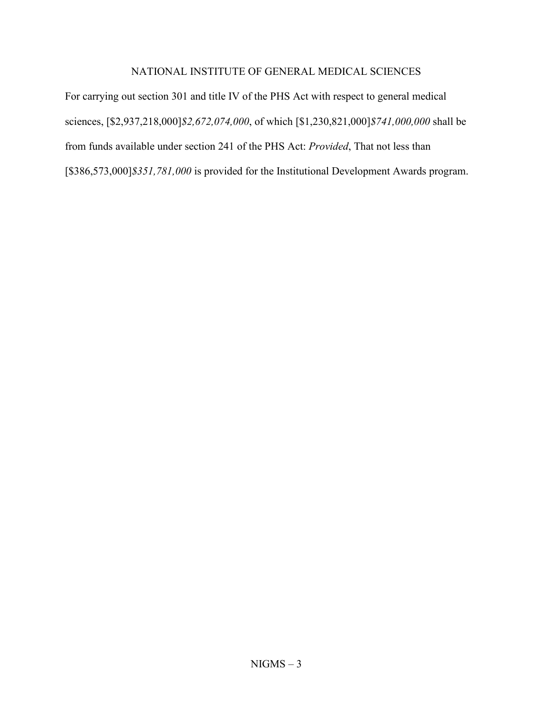### NATIONAL INSTITUTE OF GENERAL MEDICAL SCIENCES

For carrying out section 301 and title IV of the PHS Act with respect to general medical sciences, [\$2,937,218,000]*\$2,672,074,000*, of which [\$1,230,821,000]*\$741,000,000* shall be from funds available under section 241 of the PHS Act: *Provided*, That not less than [\$386,573,000]*\$351,781,000* is provided for the Institutional Development Awards program.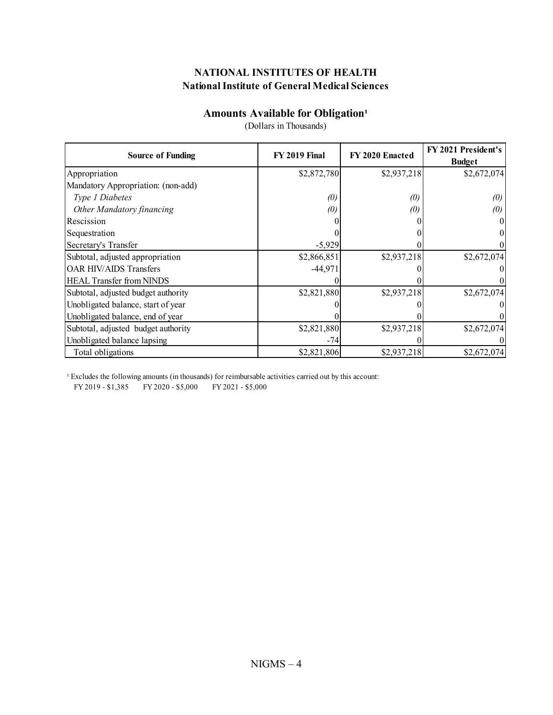## **Amounts Available for Obligation<sup>1</sup>**

|                                     |                      |                   | FY 2021 President's |
|-------------------------------------|----------------------|-------------------|---------------------|
| <b>Source of Funding</b>            | <b>FY 2019 Final</b> | FY 2020 Enacted   | <b>Budget</b>       |
| Appropriation                       | \$2,872,780          | \$2,937,218       | \$2,672,074         |
| Mandatory Appropriation: (non-add)  |                      |                   |                     |
| Type 1 Diabetes                     | (0)                  | $\left( 0\right)$ | $\left( 0\right)$   |
| Other Mandatory financing           | (0)                  | $\left( 0\right)$ | (0)                 |
| Rescission                          |                      |                   |                     |
| Sequestration                       |                      |                   |                     |
| Secretary's Transfer                | $-5,929$             |                   |                     |
| Subtotal, adjusted appropriation    | \$2,866,851          | \$2,937,218       | \$2,672,074         |
| <b>OAR HIV/AIDS Transfers</b>       | $-44,971$            |                   |                     |
| <b>HEAL Transfer from NINDS</b>     |                      |                   |                     |
| Subtotal, adjusted budget authority | \$2,821,880          | \$2,937,218       | \$2,672,074         |
| Unobligated balance, start of year  |                      |                   |                     |
| Unobligated balance, end of year    |                      |                   |                     |
| Subtotal, adjusted budget authority | \$2,821,880          | \$2,937,218       | \$2,672,074         |
| Unobligated balance lapsing         | $-74$                |                   |                     |
| Total obligations                   | \$2,821,806          | \$2,937,218       | \$2,672,074         |

(Dollars in Thousands)

<sup>1</sup> Excludes the following amounts (in thousands) for reimbursable activities carried out by this account:

FY 2019 - \$1,385 FY 2020 - \$5,000 FY 2021 - \$5,000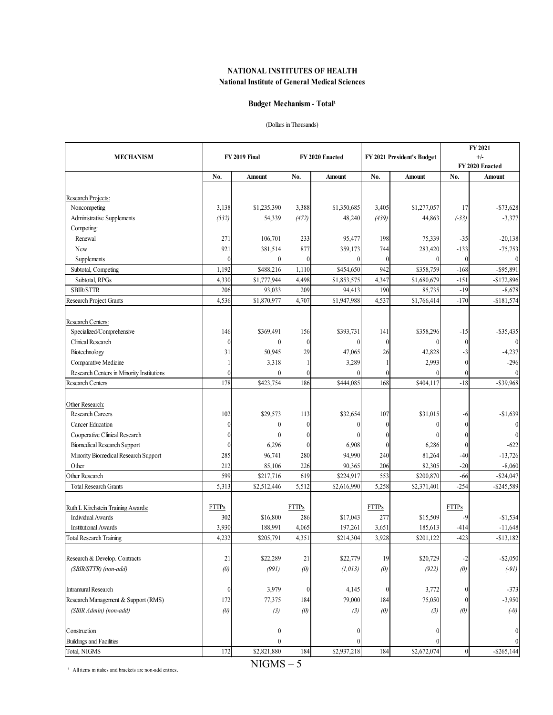#### **Budget Mechanism - Total<sup>1</sup>**

#### (Dollars in Thousands)

| <b>MECHANISM</b>                          |                  | FY 2019 Final |                  | FY 2020 Enacted |                | FY 2021 President's Budget |                  | FY 2021<br>$+/-$ |
|-------------------------------------------|------------------|---------------|------------------|-----------------|----------------|----------------------------|------------------|------------------|
|                                           |                  |               |                  |                 |                |                            |                  | FY 2020 Enacted  |
|                                           | No.              | Amount        | No.              | Amount          | No.            | Amount                     | No.              | Amount           |
| Research Projects:                        |                  |               |                  |                 |                |                            |                  |                  |
| Noncompeting                              | 3,138            | \$1,235,390   | 3,388            | \$1,350,685     | 3,405          | \$1,277,057                | 17               | $- $73,628$      |
| Administrative Supplements                | (532)            | 54,339        | (472)            | 48,240          | (439)          | 44,863                     | $(-33)$          | $-3,377$         |
| Competing:                                |                  |               |                  |                 |                |                            |                  |                  |
| Renewal                                   | 271              | 106,701       | 233              | 95,477          | 198            | 75,339                     | $-35$            | $-20,138$        |
| New                                       | 921              | 381,514       | 877              | 359,173         | 744            | 283,420                    | $-133$           | $-75,753$        |
| Supplements                               | $\theta$         | $\theta$      | $\boldsymbol{0}$ | $\Omega$        | $\theta$       | $\mathbf{0}$               | $\Omega$         | $\theta$         |
| Subtotal, Competing                       | 1,192            | \$488,216     | 1,110            | \$454,650       | 942            | \$358,759                  | $-168$           | $-$ \$95,891     |
| Subtotal, RPGs                            | 4,330            | \$1,777,944   | 4,498            | \$1,853,575     | 4,347          | \$1,680,679                | $-151$           | $-$172,896$      |
| <b>SBIR/STTR</b>                          | 206              | 93,033        | 209              | 94,413          | 190            | 85,735                     | $-19$            | $-8,678$         |
| Research Project Grants                   | 4,536            | \$1,870,977   | 4,707            | \$1,947,988     | 4,537          | \$1,766,414                | $-170$           | $-$181,574$      |
| Research Centers:                         |                  |               |                  |                 |                |                            |                  |                  |
| Specialized/Comprehensive                 | 146              | \$369,491     | 156              | \$393,731       | 141            | \$358,296                  | -15              | $-$ \$35,435     |
| Clinical Research                         | $\mathbf{0}$     | 0             | $\mathbf{0}$     | $\theta$        | $\theta$       | $\theta$                   | $\theta$         |                  |
| Biotechnology                             | 31               | 50,945        | 29               | 47,065          | 26             | 42,828                     | -3               | $-4,237$         |
| Comparative Medicine                      |                  | 3,318         |                  | 3,289           |                | 2,993                      | $\Omega$         | $-296$           |
| Research Centers in Minority Institutions | 0                | $\theta$      | $\theta$         | $\Omega$        | $\theta$       | $\Omega$                   | $\theta$         | $\theta$         |
| Research Centers                          | 178              | \$423,754     | 186              | \$444,085       | 168            | \$404,117                  | $-18$            | $-$ \$39,968     |
|                                           |                  |               |                  |                 |                |                            |                  |                  |
| Other Research:                           |                  |               |                  |                 |                |                            |                  |                  |
| <b>Research Careers</b>                   | 102              | \$29,573      | 113              | \$32,654        | 107            | \$31,015                   | -6               | $-$1,639$        |
| <b>Cancer Education</b>                   | 0                | 0             | $\boldsymbol{0}$ | $\Omega$        | $\Omega$       | $\theta$                   | $\Omega$         | $\Omega$         |
| Cooperative Clinical Research             | 0                | 0             | $\theta$         |                 | 0              | $\theta$                   |                  |                  |
| <b>Biomedical Research Support</b>        | 0                | 6,296         | $\mathbf{0}$     | 6,908           | $\theta$       | 6,286                      | $\Omega$         | $-622$           |
| Minority Biomedical Research Support      | 285              | 96,741        | 280              | 94,990          | 240            | 81,264                     | $-40$            | $-13,726$        |
| Other                                     | 212              | 85,106        | 226              | 90,365          | 206            | 82,305                     | $-20$            | $-8,060$         |
| Other Research                            | 599              | \$217,716     | 619              | \$224,917       | 553            | \$200,870                  | $-66$            | $-$ \$24,047     |
| <b>Total Research Grants</b>              | 5,313            | \$2,512,446   | 5,512            | \$2,616,990     | 5,258          | \$2,371,401                | $-254$           | $-$ \$245,589    |
| Ruth L Kirchstein Training Awards:        | <b>FTTPs</b>     |               | <b>FTTPs</b>     |                 | <b>FTTPs</b>   |                            | <b>FTTPs</b>     |                  |
| <b>Individual Awards</b>                  | 302              | \$16,800      | 286              | \$17,043        | 277            | \$15,509                   | $-9$             | $-$1,534$        |
| <b>Institutional Awards</b>               | 3,930            | 188,99        | 4,065            | 197,261         | 3,651          | 185,613                    | -414             | $-11,648$        |
| <b>Total Research Training</b>            | 4,232            | \$205,791     | 4,351            | \$214,304       | 3,928          | \$201,122                  | $-423$           | $- $13,182$      |
|                                           |                  | \$22,289      |                  |                 |                | \$20,729                   |                  |                  |
| Research & Develop. Contracts             | 21               |               | 21               | \$22,779        | 19             |                            | -2               | $-$ \$2,050      |
| (SBIR/STTR) (non-add)                     | (0)              | (991)         | (0)              | (1,013)         | (0)            | (922)                      | (0)              | $(-91)$          |
| <b>Intramural Research</b>                | $\boldsymbol{0}$ | 3,979         | $\mathbf{0}$     | 4,145           | $\overline{0}$ | 3,772                      | $\overline{0}$   | $-373$           |
| Research Management & Support (RMS)       | 172              | 77,375        | 184              | 79,000          | 184            | 75,050                     |                  | $-3,950$         |
| (SBIR Admin) (non-add)                    | (0)              | (3)           | (0)              | (3)             | (0)            | (3)                        | (0)              | $(-0)$           |
| Construction                              |                  | 0             |                  | $\Omega$        |                | $\theta$                   |                  |                  |
| <b>Buildings and Facilities</b>           |                  |               |                  |                 |                | $\theta$                   |                  |                  |
| Total, NIGMS                              | 172              | \$2,821,880   | 184              | \$2,937,218     | 184            | \$2,672,074                | $\boldsymbol{0}$ | $-$ \$265,144    |

<sup>1</sup> All items in italics and brackets are non-add entries.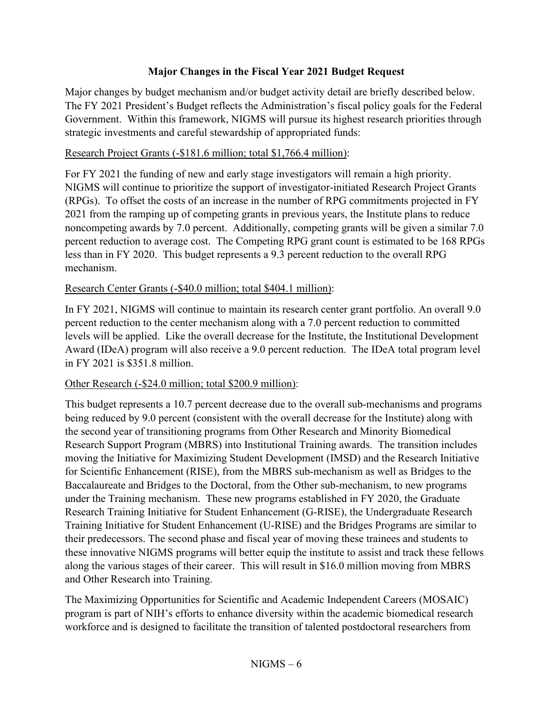## **Major Changes in the Fiscal Year 2021 Budget Request**

Major changes by budget mechanism and/or budget activity detail are briefly described below. The FY 2021 President's Budget reflects the Administration's fiscal policy goals for the Federal Government. Within this framework, NIGMS will pursue its highest research priorities through strategic investments and careful stewardship of appropriated funds:

## Research Project Grants (-\$181.6 million; total \$1,766.4 million):

For FY 2021 the funding of new and early stage investigators will remain a high priority. NIGMS will continue to prioritize the support of investigator-initiated Research Project Grants (RPGs). To offset the costs of an increase in the number of RPG commitments projected in FY 2021 from the ramping up of competing grants in previous years, the Institute plans to reduce noncompeting awards by 7.0 percent. Additionally, competing grants will be given a similar 7.0 percent reduction to average cost. The Competing RPG grant count is estimated to be 168 RPGs less than in FY 2020. This budget represents a 9.3 percent reduction to the overall RPG mechanism.

## Research Center Grants (-\$40.0 million; total \$404.1 million):

In FY 2021, NIGMS will continue to maintain its research center grant portfolio. An overall 9.0 percent reduction to the center mechanism along with a 7.0 percent reduction to committed levels will be applied. Like the overall decrease for the Institute, the Institutional Development Award (IDeA) program will also receive a 9.0 percent reduction. The IDeA total program level in FY 2021 is \$351.8 million.

## Other Research (-\$24.0 million; total \$200.9 million):

This budget represents a 10.7 percent decrease due to the overall sub-mechanisms and programs being reduced by 9.0 percent (consistent with the overall decrease for the Institute) along with the second year of transitioning programs from Other Research and Minority Biomedical Research Support Program (MBRS) into Institutional Training awards. The transition includes moving the Initiative for Maximizing Student Development (IMSD) and the Research Initiative for Scientific Enhancement (RISE), from the MBRS sub-mechanism as well as Bridges to the Baccalaureate and Bridges to the Doctoral, from the Other sub-mechanism, to new programs under the Training mechanism. These new programs established in FY 2020, the Graduate Research Training Initiative for Student Enhancement (G-RISE), the Undergraduate Research Training Initiative for Student Enhancement (U-RISE) and the Bridges Programs are similar to their predecessors. The second phase and fiscal year of moving these trainees and students to these innovative NIGMS programs will better equip the institute to assist and track these fellows along the various stages of their career. This will result in \$16.0 million moving from MBRS and Other Research into Training.

The Maximizing Opportunities for Scientific and Academic Independent Careers (MOSAIC) program is part of NIH's efforts to enhance diversity within the academic biomedical research workforce and is designed to facilitate the transition of talented postdoctoral researchers from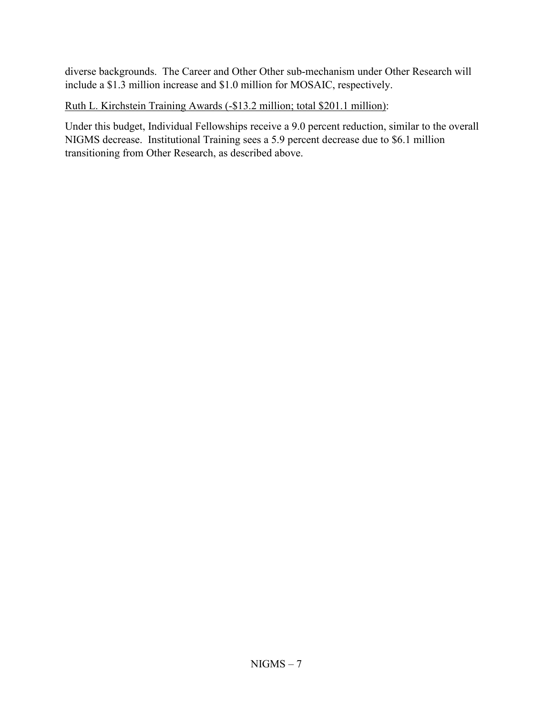diverse backgrounds. The Career and Other Other sub-mechanism under Other Research will include a \$1.3 million increase and \$1.0 million for MOSAIC, respectively.

## Ruth L. Kirchstein Training Awards (-\$13.2 million; total \$201.1 million):

Under this budget, Individual Fellowships receive a 9.0 percent reduction, similar to the overall NIGMS decrease. Institutional Training sees a 5.9 percent decrease due to \$6.1 million transitioning from Other Research, as described above.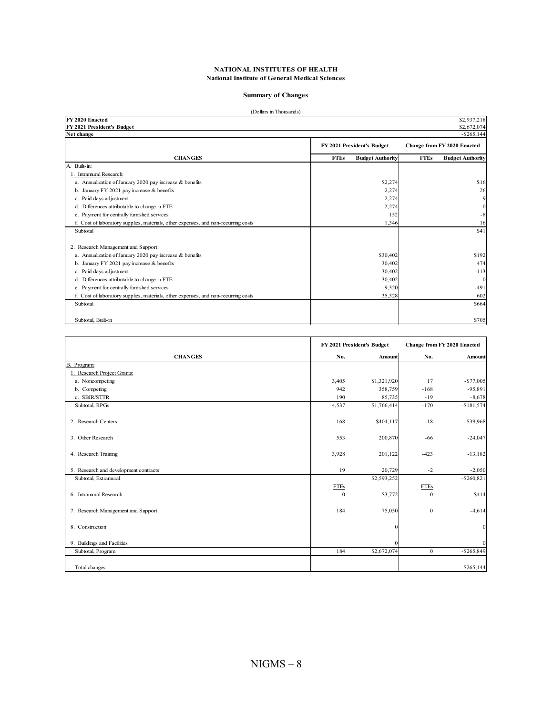#### **Summary of Changes**

| (Dollars in Thousands)                                                             |                                        |                                        |
|------------------------------------------------------------------------------------|----------------------------------------|----------------------------------------|
| FY 2020 Enacted                                                                    |                                        | \$2,937,218                            |
| FY 2021 President's Budget                                                         |                                        | \$2,672,074                            |
| Net change                                                                         |                                        | $-$ \$265,144                          |
|                                                                                    | FY 2021 President's Budget             | <b>Change from FY 2020 Enacted</b>     |
| <b>CHANGES</b>                                                                     | <b>FTEs</b><br><b>Budget Authority</b> | <b>FTEs</b><br><b>Budget Authority</b> |
| A. Built-in:                                                                       |                                        |                                        |
| 1. Intramural Research:                                                            |                                        |                                        |
| a. Annualization of January 2020 pay increase & benefits                           | \$2,274                                | \$16                                   |
| b. January FY 2021 pay increase & benefits                                         | 2,274                                  | 26                                     |
| c. Paid days adjustment                                                            | 2,274                                  | $-9$                                   |
| d. Differences attributable to change in FTE                                       | 2,274                                  | $\mathbf{0}$                           |
| e. Payment for centrally furnished services                                        | 152                                    | $-8$                                   |
| f. Cost of laboratory supplies, materials, other expenses, and non-recurring costs | 1,346                                  | 16                                     |
| Subtotal                                                                           |                                        | \$41                                   |
| 2. Research Management and Support:                                                |                                        |                                        |
| a. Annualization of January 2020 pay increase & benefits                           | \$30,402                               | \$192                                  |
| b. January FY 2021 pay increase $&$ benefits                                       | 30,402                                 | 474                                    |
| c. Paid days adjustment                                                            | 30,402                                 | $-113$                                 |
| d. Differences attributable to change in FTE                                       | 30,402                                 | $\theta$                               |
| e. Payment for centrally furnished services                                        | 9,320                                  | $-491$                                 |
| f. Cost of laboratory supplies, materials, other expenses, and non-recurring costs | 35,328                                 | 602                                    |
| Subtotal                                                                           |                                        | \$664                                  |
| Subtotal, Built-in                                                                 |                                        | \$705                                  |

|                                       |              | FY 2021 President's Budget | <b>Change from FY 2020 Enacted</b> |               |  |
|---------------------------------------|--------------|----------------------------|------------------------------------|---------------|--|
| <b>CHANGES</b>                        | No.          | Amount                     | No.                                | Amount        |  |
| B. Program:                           |              |                            |                                    |               |  |
| 1. Research Project Grants:           |              |                            |                                    |               |  |
| a. Noncompeting                       | 3,405        | \$1,321,920                | 17                                 | $- $77,005$   |  |
| b. Competing                          | 942          | 358,759                    | $-168$                             | $-95,891$     |  |
| c. SBIR/STTR                          | 190          | 85,735                     | $-19$                              | $-8,678$      |  |
| Subtotal, RPGs                        | 4,537        | \$1,766,414                | $-170$                             | $- $181,574$  |  |
| 2. Research Centers                   | 168          | \$404,117                  | $-18$                              | $-$ \$39,968  |  |
| 3. Other Research                     | 553          | 200,870                    | $-66$                              | $-24,047$     |  |
| 4. Research Training                  | 3,928        | 201,122                    | $-423$                             | $-13,182$     |  |
| 5. Research and development contracts | 19           | 20,729                     | $-2$                               | $-2,050$      |  |
| Subtotal, Extramural                  |              | \$2,593,252                |                                    | $-$ \$260,821 |  |
|                                       | <b>FTEs</b>  |                            | <b>FTEs</b>                        |               |  |
| 6. Intramural Research                | $\mathbf{0}$ | \$3,772                    | $\mathbf{0}$                       | $- $414$      |  |
| 7. Research Management and Support    | 184          | 75,050                     | $\mathbf{0}$                       | $-4,614$      |  |
| 8. Construction                       |              | $\Omega$                   |                                    | $\bf{0}$      |  |
| 9. Buildings and Facilities           |              | $\Omega$                   |                                    | $\mathbf{0}$  |  |
| Subtotal, Program                     | 184          | \$2,672,074                | $\mathbf{0}$                       | $-$ \$265,849 |  |
| Total changes                         |              |                            |                                    | $-$ \$265,144 |  |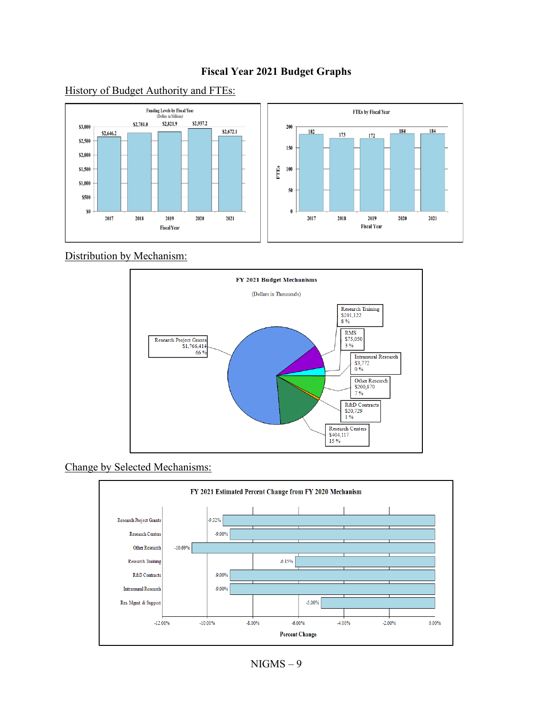## **Fiscal Year 2021 Budget Graphs**



History of Budget Authority and FTEs:

Distribution by Mechanism:



Change by Selected Mechanisms:

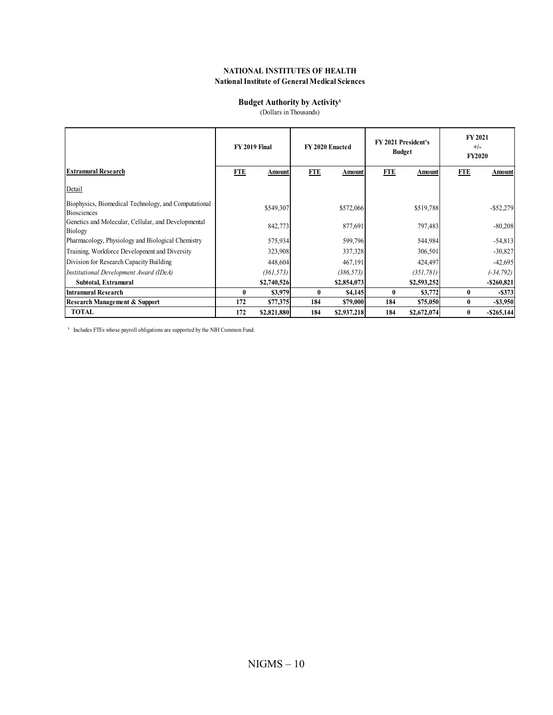#### **Budget Authority by Activity**<sup>1</sup>

(Dollars in Thousands)

|                                                                            |              | <b>FY 2019 Final</b> |            | FY 2020 Enacted |            | <b>FY 2021 President's</b><br><b>Budget</b> |            | <b>FY 2021</b><br>$+/-$<br><b>FY2020</b> |
|----------------------------------------------------------------------------|--------------|----------------------|------------|-----------------|------------|---------------------------------------------|------------|------------------------------------------|
| <b>Extramural Research</b>                                                 | <b>FTE</b>   | Amount               | <b>FTE</b> | Amount          | <b>FTE</b> | Amount                                      | <b>FTE</b> | Amount                                   |
| Detail                                                                     |              |                      |            |                 |            |                                             |            |                                          |
| Biophysics, Biomedical Technology, and Computational<br><b>Biosciences</b> |              | \$549,307            |            | \$572,066       |            | \$519,788                                   |            | $-$ \$52,279                             |
| Genetics and Molecular, Cellular, and Developmental<br>Biology             |              | 842,773              |            | 877,691         |            | 797,483                                     |            | $-80,208$                                |
| Pharmacology, Physiology and Biological Chemistry                          |              | 575,934              |            | 599,796         |            | 544,984                                     |            | $-54,813$                                |
| Training, Workforce Development and Diversity                              |              | 323,908              |            | 337,328         |            | 306,501                                     |            | $-30,827$                                |
| Division for Research Capacity Building                                    |              | 448,604              |            | 467,191         |            | 424,497                                     |            | $-42,695$                                |
| Institutional Development Award (IDeA)                                     |              | (361, 573)           |            | (386, 573)      |            | (351, 781)                                  |            | $(-34, 792)$                             |
| Subtotal, Extramural                                                       |              | \$2,740,526          |            | \$2,854,073     |            | \$2,593,252                                 |            | $-$ \$260,821                            |
| <b>Intramural Research</b>                                                 | $\mathbf{0}$ | \$3,979              | $\bf{0}$   | \$4,145         | $\bf{0}$   | \$3,772                                     | 0          | $-$ \$373                                |
| Research Management & Support                                              | 172          | \$77,375             | 184        | \$79,000        | 184        | \$75,050                                    |            | $-$ \$3,950                              |
| <b>TOTAL</b>                                                               | 172          | \$2,821,880          | 184        | \$2,937,218     | 184        | \$2,672,074                                 | 0          | $-$ \$265,144                            |

<sup>1</sup> Includes FTEs whose payroll obligations are supported by the NIH Common Fund.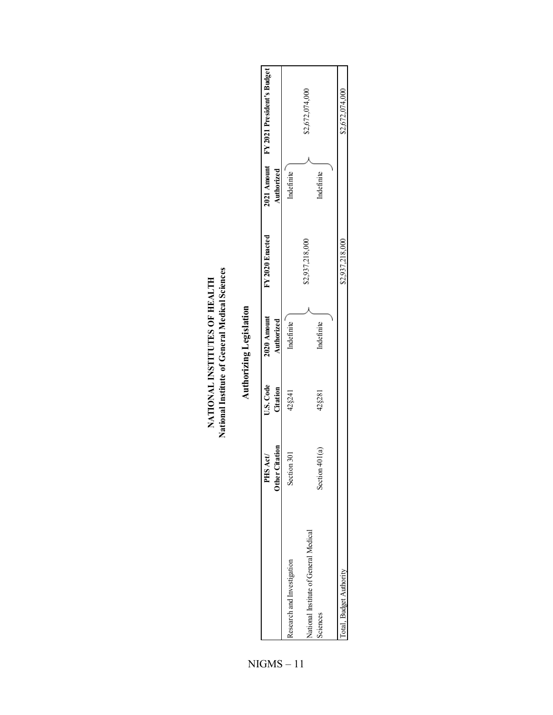|                                       |                                      |                       | Authorizing Legislation   |                 |            |                                        |
|---------------------------------------|--------------------------------------|-----------------------|---------------------------|-----------------|------------|----------------------------------------|
|                                       | litation<br>Act)<br>PHS.<br>Other L. | U.S. Code<br>Citation | 2020 Amount<br>Authorized | FY 2020 Enacted | Authorized | 2021 Amount FY 2021 President's Budget |
| cesearch and Investigation            | Section 301                          | 42§241                | Indefinite                |                 | Indefinite |                                        |
| Vational Institute of General Medical |                                      |                       |                           | \$2,937,218,000 |            | \$2,672,074,000                        |
| Sciences                              | 401(a)<br>Section                    | 42§281                | Indefinite                |                 | ndefinite  |                                        |

**Sciences** 

Total, Budget Authority

Total, Budget Authority \$2,672,074,000 \$2,67,218,000 \$2,67,218,000 \$2,672,037,218,000 \$2,672,074,000

\$2,937,218,000

\$2,672,074,000

| NATIONAL INSTITUTES OF HEALTH | National Institute of General Medical Sciences |  |
|-------------------------------|------------------------------------------------|--|
|                               |                                                |  |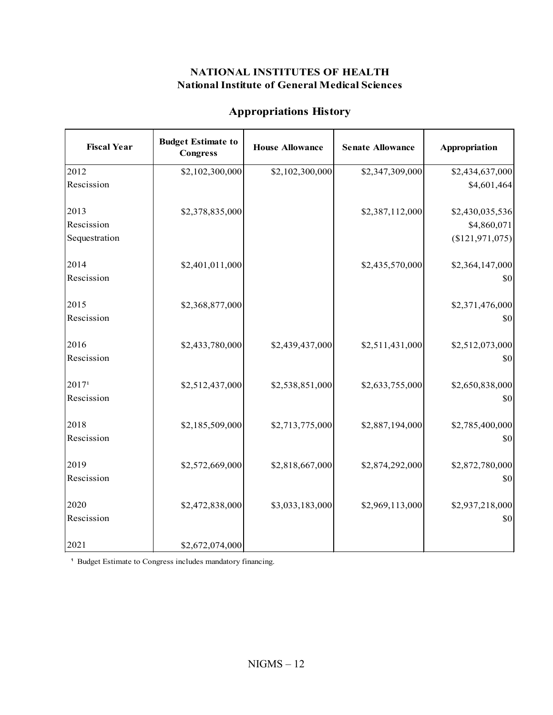| <b>Appropriations History</b> |
|-------------------------------|
|-------------------------------|

| <b>Fiscal Year</b> | <b>Budget Estimate to</b><br><b>Congress</b> | <b>House Allowance</b> | <b>Senate Allowance</b> | Appropriation   |
|--------------------|----------------------------------------------|------------------------|-------------------------|-----------------|
| 2012               | \$2,102,300,000                              | \$2,102,300,000        | \$2,347,309,000         | \$2,434,637,000 |
| Rescission         |                                              |                        |                         | \$4,601,464     |
| 2013               | \$2,378,835,000                              |                        | \$2,387,112,000         | \$2,430,035,536 |
| Rescission         |                                              |                        |                         | \$4,860,071     |
| Sequestration      |                                              |                        |                         | (\$121,971,075) |
| 2014               | \$2,401,011,000                              |                        | \$2,435,570,000         | \$2,364,147,000 |
| Rescission         |                                              |                        |                         | \$0             |
| 2015               | \$2,368,877,000                              |                        |                         | \$2,371,476,000 |
| Rescission         |                                              |                        |                         | \$0             |
| 2016               | \$2,433,780,000                              | \$2,439,437,000        | \$2,511,431,000         | \$2,512,073,000 |
| Rescission         |                                              |                        |                         | \$0             |
| 2017 <sup>1</sup>  | \$2,512,437,000                              | \$2,538,851,000        | \$2,633,755,000         | \$2,650,838,000 |
| Rescission         |                                              |                        |                         | \$0             |
| 2018               | \$2,185,509,000                              | \$2,713,775,000        | \$2,887,194,000         | \$2,785,400,000 |
| Rescission         |                                              |                        |                         | \$0             |
| 2019               | \$2,572,669,000                              | \$2,818,667,000        | \$2,874,292,000         | \$2,872,780,000 |
| Rescission         |                                              |                        |                         | \$0             |
| 2020               | \$2,472,838,000                              | \$3,033,183,000        | \$2,969,113,000         | \$2,937,218,000 |
| Rescission         |                                              |                        |                         | \$0             |
| 2021               | \$2,672,074,000                              |                        |                         |                 |

<sup>1</sup> Budget Estimate to Congress includes mandatory financing.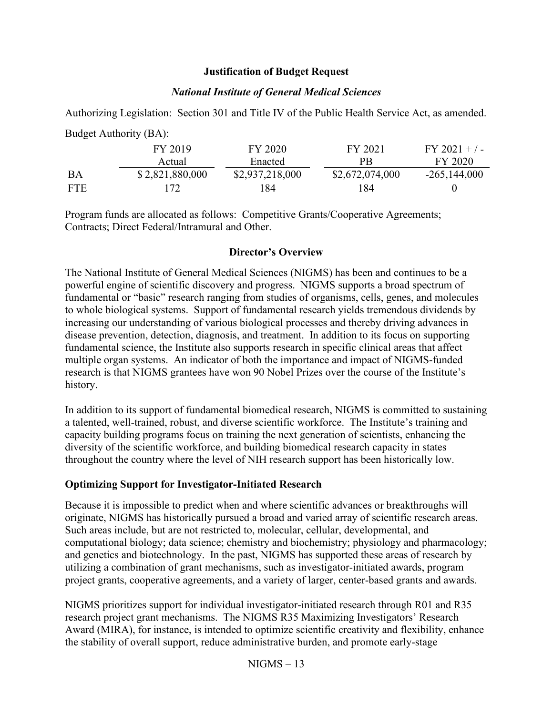#### **Justification of Budget Request**

#### *National Institute of General Medical Sciences*

Authorizing Legislation: Section 301 and Title IV of the Public Health Service Act, as amended.

|            | Duugu Authority (DA). |                 |                 |                 |
|------------|-----------------------|-----------------|-----------------|-----------------|
|            | FY 2019               | FY 2020         | FY 2021         | $FY 2021 + / -$ |
|            | Actual                | Enacted         | <b>PR</b>       | FY 2020         |
| BA         | \$2,821,880,000       | \$2,937,218,000 | \$2,672,074,000 | $-265,144,000$  |
| <b>FTE</b> | 172                   | -84             | 184             |                 |

Program funds are allocated as follows: Competitive Grants/Cooperative Agreements; Contracts; Direct Federal/Intramural and Other.

#### **Director's Overview**

The National Institute of General Medical Sciences (NIGMS) has been and continues to be a powerful engine of scientific discovery and progress. NIGMS supports a broad spectrum of fundamental or "basic" research ranging from studies of organisms, cells, genes, and molecules to whole biological systems. Support of fundamental research yields tremendous dividends by increasing our understanding of various biological processes and thereby driving advances in disease prevention, detection, diagnosis, and treatment. In addition to its focus on supporting fundamental science, the Institute also supports research in specific clinical areas that affect multiple organ systems. An indicator of both the importance and impact of NIGMS-funded research is that NIGMS grantees have won 90 Nobel Prizes over the course of the Institute's history.

In addition to its support of fundamental biomedical research, NIGMS is committed to sustaining a talented, well-trained, robust, and diverse scientific workforce. The Institute's training and capacity building programs focus on training the next generation of scientists, enhancing the diversity of the scientific workforce, and building biomedical research capacity in states throughout the country where the level of NIH research support has been historically low.

### **Optimizing Support for Investigator-Initiated Research**

 $Bulact$  Authority  $(B \Lambda)$ .

Because it is impossible to predict when and where scientific advances or breakthroughs will originate, NIGMS has historically pursued a broad and varied array of scientific research areas. Such areas include, but are not restricted to, molecular, cellular, developmental, and computational biology; data science; chemistry and biochemistry; physiology and pharmacology; and genetics and biotechnology. In the past, NIGMS has supported these areas of research by utilizing a combination of grant mechanisms, such as investigator-initiated awards, program project grants, cooperative agreements, and a variety of larger, center-based grants and awards.

NIGMS prioritizes support for individual investigator-initiated research through R01 and R35 research project grant mechanisms. The NIGMS R35 Maximizing Investigators' Research Award (MIRA), for instance, is intended to optimize scientific creativity and flexibility, enhance the stability of overall support, reduce administrative burden, and promote early-stage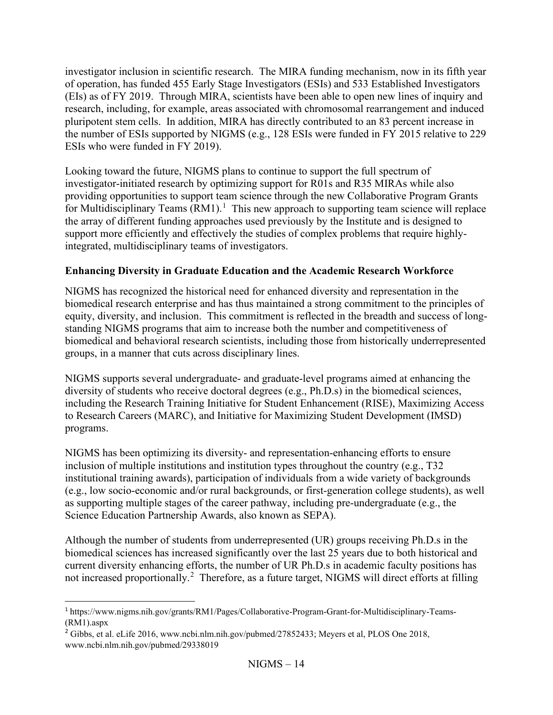investigator inclusion in scientific research. The MIRA funding mechanism, now in its fifth year of operation, has funded 455 Early Stage Investigators (ESIs) and 533 Established Investigators (EIs) as of FY 2019. Through MIRA, scientists have been able to open new lines of inquiry and research, including, for example, areas associated with chromosomal rearrangement and induced pluripotent stem cells. In addition, MIRA has directly contributed to an 83 percent increase in the number of ESIs supported by NIGMS (e.g., 128 ESIs were funded in FY 2015 relative to 229 ESIs who were funded in FY 2019).

Looking toward the future, NIGMS plans to continue to support the full spectrum of investigator-initiated research by optimizing support for R01s and R35 MIRAs while also providing opportunities to support team science through the new Collaborative Program Grants for Multidisciplinary Teams  $(RM1)^{1}$  $(RM1)^{1}$  $(RM1)^{1}$  This new approach to supporting team science will replace the array of different funding approaches used previously by the Institute and is designed to support more efficiently and effectively the studies of complex problems that require highlyintegrated, multidisciplinary teams of investigators.

## **Enhancing Diversity in Graduate Education and the Academic Research Workforce**

NIGMS has recognized the historical need for enhanced diversity and representation in the biomedical research enterprise and has thus maintained a strong commitment to the principles of equity, diversity, and inclusion. This commitment is reflected in the breadth and success of longstanding NIGMS programs that aim to increase both the number and competitiveness of biomedical and behavioral research scientists, including those from historically underrepresented groups, in a manner that cuts across disciplinary lines.

NIGMS supports several undergraduate- and graduate-level programs aimed at enhancing the diversity of students who receive doctoral degrees (e.g., Ph.D.s) in the biomedical sciences, including the Research Training Initiative for Student Enhancement (RISE), Maximizing Access to Research Careers (MARC), and Initiative for Maximizing Student Development (IMSD) programs.

NIGMS has been optimizing its diversity- and representation-enhancing efforts to ensure inclusion of multiple institutions and institution types throughout the country (e.g.,  $T32$ ) institutional training awards), participation of individuals from a wide variety of backgrounds (e.g., low socio-economic and/or rural backgrounds, or first-generation college students), as well as supporting multiple stages of the career pathway, including pre-undergraduate (e.g., the Science Education Partnership Awards, also known as SEPA).

Although the number of students from underrepresented (UR) groups receiving Ph.D.s in the biomedical sciences has increased significantly over the last 25 years due to both historical and current diversity enhancing efforts, the number of UR Ph.D.s in academic faculty positions has not increased proportionally.<sup>[2](#page-13-1)</sup> Therefore, as a future target, NIGMS will direct efforts at filling

<span id="page-13-0"></span><sup>1</sup> [https://www.nigms.nih.gov/grants/RM1/Pages/Collaborative-Program-Grant-for-Multidisciplinary-Teams-](https://www.nigms.nih.gov/grants/RM1/Pages/Collaborative-Program-Grant-for-Multidisciplinary-Teams-(RM1).aspx) [\(RM1\).aspx](https://www.nigms.nih.gov/grants/RM1/Pages/Collaborative-Program-Grant-for-Multidisciplinary-Teams-(RM1).aspx)

<span id="page-13-1"></span><sup>2</sup> Gibbs, et al. eLife 2016, www.ncbi.nlm.nih.gov/pubmed/27852433; Meyers et al, PLOS One 2018, www.ncbi.nlm.nih.gov/pubmed/29338019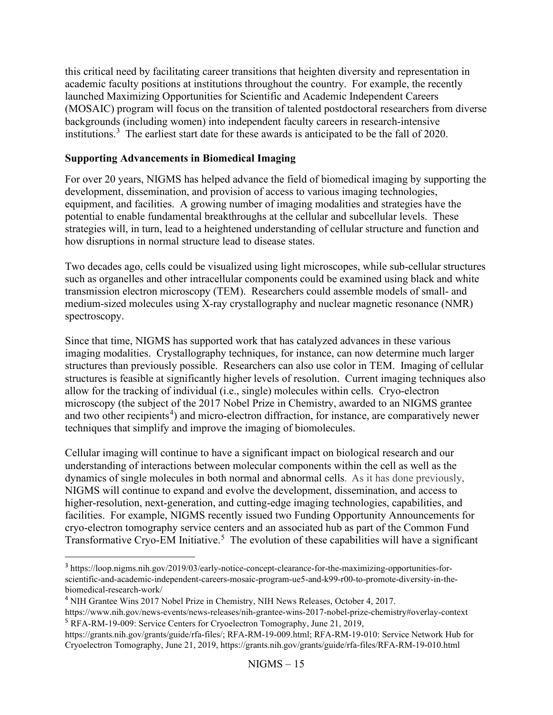this critical need by facilitating career transitions that heighten diversity and representation in academic faculty positions at institutions throughout the country. For example, the recently launched Maximizing Opportunities for Scientific and Academic Independent Careers (MOSAIC) program will focus on the transition of talented postdoctoral researchers from diverse backgrounds (including women) into independent faculty careers in research-intensive institutions.[3](#page-14-0) The earliest start date for these awards is anticipated to be the fall of 2020.

### **Supporting Advancements in Biomedical Imaging**

For over 20 years, NIGMS has helped advance the field of biomedical imaging by supporting the development, dissemination, and provision of access to various imaging technologies, equipment, and facilities. A growing number of imaging modalities and strategies have the potential to enable fundamental breakthroughs at the cellular and subcellular levels. These strategies will, in turn, lead to a heightened understanding of cellular structure and function and how disruptions in normal structure lead to disease states.

Two decades ago, cells could be visualized using light microscopes, while sub-cellular structures such as organelles and other intracellular components could be examined using black and white transmission electron microscopy (TEM). Researchers could assemble models of small- and medium-sized molecules using X-ray crystallography and nuclear magnetic resonance (NMR) spectroscopy.

Since that time, NIGMS has supported work that has catalyzed advances in these various imaging modalities. Crystallography techniques, for instance, can now determine much larger structures than previously possible. Researchers can also use color in TEM. Imaging of cellular structures is feasible at significantly higher levels of resolution. Current imaging techniques also allow for the tracking of individual (i.e., single) molecules within cells. Cryo-electron microscopy (the subject of the 2017 Nobel Prize in Chemistry, awarded to an NIGMS grantee and two other recipients<sup>[4](#page-14-1)</sup>) and micro-electron diffraction, for instance, are comparatively newer techniques that simplify and improve the imaging of biomolecules.

Cellular imaging will continue to have a significant impact on biological research and our understanding of interactions between molecular components within the cell as well as the dynamics of single molecules in both normal and abnormal cells. As it has done previously, NIGMS will continue to expand and evolve the development, dissemination, and access to higher-resolution, next-generation, and cutting-edge imaging technologies, capabilities, and facilities. For example, NIGMS recently issued two Funding Opportunity Announcements for cryo-electron tomography service centers and an associated hub as part of the Common Fund Transformative Cryo-EM Initiative.<sup>[5](#page-14-2)</sup> The evolution of these capabilities will have a significant

<span id="page-14-0"></span><sup>3</sup> [https://loop.nigms.nih.gov/2019/03/early-notice-concept-clearance-for-the-maximizing-opportunities-for](https://loop.nigms.nih.gov/2019/03/early-notice-concept-clearance-for-the-maximizing-opportunities-for-scientific-and-academic-independent-careers-mosaic-program-ue5-and-k99-r00-to-promote-diversity-in-the-biomedical-research-work/)[scientific-and-academic-independent-careers-mosaic-program-ue5-and-k99-r00-to-promote-diversity-in-the](https://loop.nigms.nih.gov/2019/03/early-notice-concept-clearance-for-the-maximizing-opportunities-for-scientific-and-academic-independent-careers-mosaic-program-ue5-and-k99-r00-to-promote-diversity-in-the-biomedical-research-work/)[biomedical-research-work/](https://loop.nigms.nih.gov/2019/03/early-notice-concept-clearance-for-the-maximizing-opportunities-for-scientific-and-academic-independent-careers-mosaic-program-ue5-and-k99-r00-to-promote-diversity-in-the-biomedical-research-work/)

<span id="page-14-1"></span><sup>4</sup> NIH Grantee Wins 2017 Nobel Prize in Chemistry, NIH News Releases, October 4, 2017.

<span id="page-14-2"></span>https://www.nih.gov/news-events/news-releases/nih-grantee-wins-2017-nobel-prize-chemistry#overlay-context <sup>5</sup> RFA-RM-19-009: Service Centers for Cryoelectron Tomography, June 21, 2019,

https://grants.nih.gov/grants/guide/rfa-files/; RFA-RM-19-009.html; RFA-RM-19-010: Service Network Hub for Cryoelectron Tomography, June 21, 2019, https://grants.nih.gov/grants/guide/rfa-files/RFA-RM-19-010.html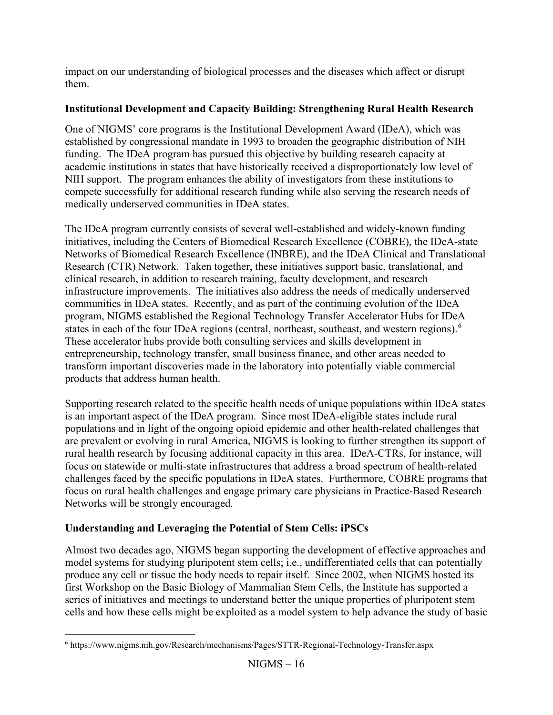impact on our understanding of biological processes and the diseases which affect or disrupt them.

## **Institutional Development and Capacity Building: Strengthening Rural Health Research**

One of NIGMS' core programs is the Institutional Development Award (IDeA), which was established by congressional mandate in 1993 to broaden the geographic distribution of NIH funding. The IDeA program has pursued this objective by building research capacity at academic institutions in states that have historically received a disproportionately low level of NIH support. The program enhances the ability of investigators from these institutions to compete successfully for additional research funding while also serving the research needs of medically underserved communities in IDeA states.

The IDeA program currently consists of several well-established and widely-known funding initiatives, including the Centers of Biomedical Research Excellence (COBRE), the IDeA-state Networks of Biomedical Research Excellence (INBRE), and the IDeA Clinical and Translational Research (CTR) Network. Taken together, these initiatives support basic, translational, and clinical research, in addition to research training, faculty development, and research infrastructure improvements. The initiatives also address the needs of medically underserved communities in IDeA states. Recently, and as part of the continuing evolution of the IDeA program, NIGMS established the Regional Technology Transfer Accelerator Hubs for IDeA states in each of the four IDeA regions (central, northeast, southeast, and western regions).<sup>[6](#page-15-0)</sup> These accelerator hubs provide both consulting services and skills development in entrepreneurship, technology transfer, small business finance, and other areas needed to transform important discoveries made in the laboratory into potentially viable commercial products that address human health.

Supporting research related to the specific health needs of unique populations within IDeA states is an important aspect of the IDeA program. Since most IDeA-eligible states include rural populations and in light of the ongoing opioid epidemic and other health-related challenges that are prevalent or evolving in rural America, NIGMS is looking to further strengthen its support of rural health research by focusing additional capacity in this area. IDeA-CTRs, for instance, will focus on statewide or multi-state infrastructures that address a broad spectrum of health-related challenges faced by the specific populations in IDeA states. Furthermore, COBRE programs that focus on rural health challenges and engage primary care physicians in Practice-Based Research Networks will be strongly encouraged.

## **Understanding and Leveraging the Potential of Stem Cells: iPSCs**

Almost two decades ago, NIGMS began supporting the development of effective approaches and model systems for studying pluripotent stem cells; i.e., undifferentiated cells that can potentially produce any cell or tissue the body needs to repair itself. Since 2002, when NIGMS hosted its first Workshop on the Basic Biology of Mammalian Stem Cells, the Institute has supported a series of initiatives and meetings to understand better the unique properties of pluripotent stem cells and how these cells might be exploited as a model system to help advance the study of basic

<span id="page-15-0"></span><sup>6</sup> <https://www.nigms.nih.gov/Research/mechanisms/Pages/STTR-Regional-Technology-Transfer.aspx>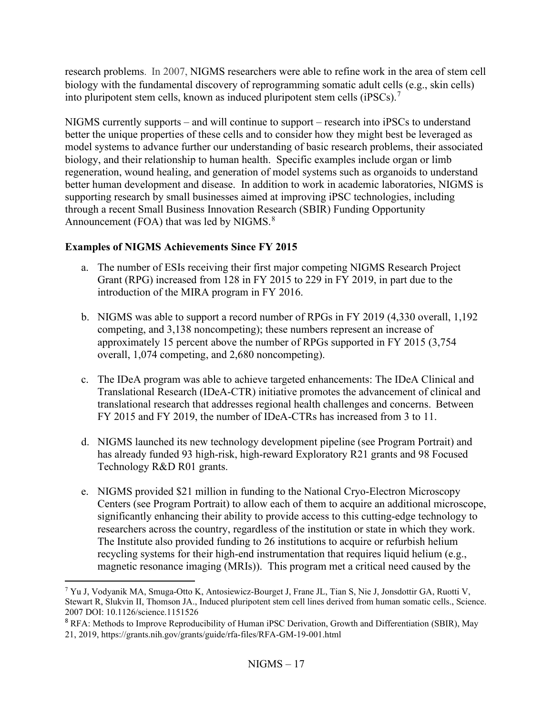research problems. In 2007, NIGMS researchers were able to refine work in the area of stem cell biology with the fundamental discovery of reprogramming somatic adult cells (e.g., skin cells) into pluripotent stem cells, known as induced pluripotent stem cells (iPSCs).<sup>[7](#page-16-0)</sup>

NIGMS currently supports – and will continue to support – research into iPSCs to understand better the unique properties of these cells and to consider how they might best be leveraged as model systems to advance further our understanding of basic research problems, their associated biology, and their relationship to human health. Specific examples include organ or limb regeneration, wound healing, and generation of model systems such as organoids to understand better human development and disease. In addition to work in academic laboratories, NIGMS is supporting research by small businesses aimed at improving iPSC technologies, including through a recent Small Business Innovation Research (SBIR) Funding Opportunity Announcement (FOA) that was led by NIGMS. $8<sup>8</sup>$  $8<sup>8</sup>$ 

## **Examples of NIGMS Achievements Since FY 2015**

- a. The number of ESIs receiving their first major competing NIGMS Research Project Grant (RPG) increased from 128 in FY 2015 to 229 in FY 2019, in part due to the introduction of the MIRA program in FY 2016.
- b. NIGMS was able to support a record number of RPGs in FY 2019 (4,330 overall, 1,192 competing, and 3,138 noncompeting); these numbers represent an increase of approximately 15 percent above the number of RPGs supported in FY 2015 (3,754 overall, 1,074 competing, and 2,680 noncompeting).
- c. The IDeA program was able to achieve targeted enhancements: The IDeA Clinical and Translational Research (IDeA-CTR) initiative promotes the advancement of clinical and translational research that addresses regional health challenges and concerns. Between FY 2015 and FY 2019, the number of IDeA-CTRs has increased from 3 to 11.
- d. NIGMS launched its new technology development pipeline (see Program Portrait) and has already funded 93 high-risk, high-reward Exploratory R21 grants and 98 Focused Technology R&D R01 grants.
- e. NIGMS provided \$21 million in funding to the National Cryo-Electron Microscopy Centers (see Program Portrait) to allow each of them to acquire an additional microscope, significantly enhancing their ability to provide access to this cutting-edge technology to researchers across the country, regardless of the institution or state in which they work. The Institute also provided funding to 26 institutions to acquire or refurbish helium recycling systems for their high-end instrumentation that requires liquid helium (e.g., magnetic resonance imaging (MRIs)). This program met a critical need caused by the

<span id="page-16-0"></span><sup>7</sup> Yu J, Vodyanik MA, Smuga-Otto K, Antosiewicz-Bourget J, Frane JL, Tian S, Nie J, Jonsdottir GA, Ruotti V, Stewart R, Slukvin II, Thomson JA., Induced pluripotent stem cell lines derived from human somatic cells., Science. 2007 DOI: 10.1126/science.1151526

<span id="page-16-1"></span><sup>8</sup> RFA: Methods to Improve Reproducibility of Human iPSC Derivation, Growth and Differentiation (SBIR), May 21, 2019, https://grants.nih.gov/grants/guide/rfa-files/RFA-GM-19-001.html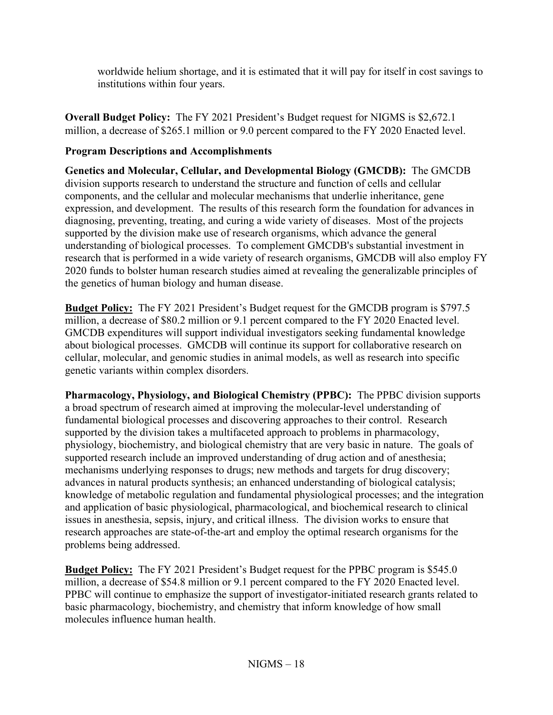worldwide helium shortage, and it is estimated that it will pay for itself in cost savings to institutions within four years.

**Overall Budget Policy:** The FY 2021 President's Budget request for NIGMS is \$2,672.1 million, a decrease of \$265.1 million or 9.0 percent compared to the FY 2020 Enacted level.

## **Program Descriptions and Accomplishments**

**Genetics and Molecular, Cellular, and Developmental Biology (GMCDB):** The GMCDB division supports research to understand the structure and function of cells and cellular components, and the cellular and molecular mechanisms that underlie inheritance, gene expression, and development. The results of this research form the foundation for advances in diagnosing, preventing, treating, and curing a wide variety of diseases. Most of the projects supported by the division make use of research organisms, which advance the general understanding of biological processes. To complement GMCDB's substantial investment in research that is performed in a wide variety of research organisms, GMCDB will also employ FY 2020 funds to bolster human research studies aimed at revealing the generalizable principles of the genetics of human biology and human disease.

**Budget Policy:** The FY 2021 President's Budget request for the GMCDB program is \$797.5 million, a decrease of \$80.2 million or 9.1 percent compared to the FY 2020 Enacted level. GMCDB expenditures will support individual investigators seeking fundamental knowledge about biological processes. GMCDB will continue its support for collaborative research on cellular, molecular, and genomic studies in animal models, as well as research into specific genetic variants within complex disorders.

**Pharmacology, Physiology, and Biological Chemistry (PPBC):** The PPBC division supports a broad spectrum of research aimed at improving the molecular-level understanding of fundamental biological processes and discovering approaches to their control. Research supported by the division takes a multifaceted approach to problems in pharmacology, physiology, biochemistry, and biological chemistry that are very basic in nature. The goals of supported research include an improved understanding of drug action and of anesthesia; mechanisms underlying responses to drugs; new methods and targets for drug discovery; advances in natural products synthesis; an enhanced understanding of biological catalysis; knowledge of metabolic regulation and fundamental physiological processes; and the integration and application of basic physiological, pharmacological, and biochemical research to clinical issues in anesthesia, sepsis, injury, and critical illness. The division works to ensure that research approaches are state-of-the-art and employ the optimal research organisms for the problems being addressed.

**Budget Policy:** The FY 2021 President's Budget request for the PPBC program is \$545.0 million, a decrease of \$54.8 million or 9.1 percent compared to the FY 2020 Enacted level. PPBC will continue to emphasize the support of investigator-initiated research grants related to basic pharmacology, biochemistry, and chemistry that inform knowledge of how small molecules influence human health.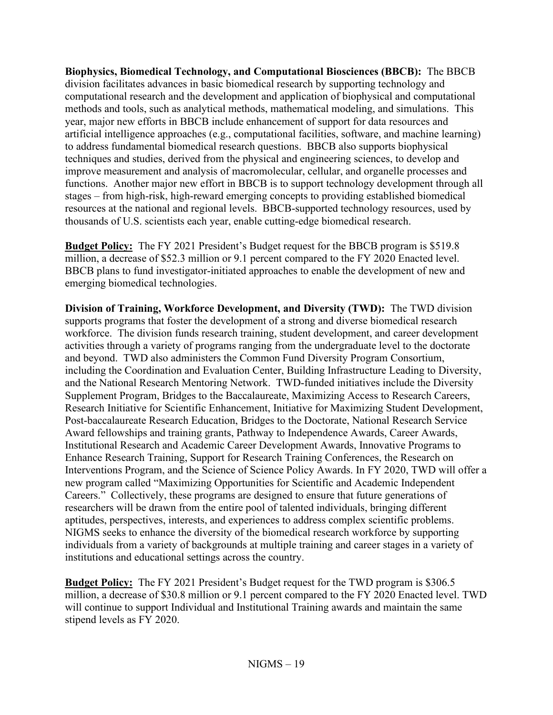**Biophysics, Biomedical Technology, and Computational Biosciences (BBCB):** The BBCB division facilitates advances in basic biomedical research by supporting technology and computational research and the development and application of biophysical and computational methods and tools, such as analytical methods, mathematical modeling, and simulations. This year, major new efforts in BBCB include enhancement of support for data resources and artificial intelligence approaches (e.g., computational facilities, software, and machine learning) to address fundamental biomedical research questions. BBCB also supports biophysical techniques and studies, derived from the physical and engineering sciences, to develop and improve measurement and analysis of macromolecular, cellular, and organelle processes and functions. Another major new effort in BBCB is to support technology development through all stages – from high-risk, high-reward emerging concepts to providing established biomedical resources at the national and regional levels. BBCB-supported technology resources, used by thousands of U.S. scientists each year, enable cutting-edge biomedical research.

**Budget Policy:** The FY 2021 President's Budget request for the BBCB program is \$519.8 million, a decrease of \$52.3 million or 9.1 percent compared to the FY 2020 Enacted level. BBCB plans to fund investigator-initiated approaches to enable the development of new and emerging biomedical technologies.

**Division of Training, Workforce Development, and Diversity (TWD):** The TWD division supports programs that foster the development of a strong and diverse biomedical research workforce. The division funds research training, student development, and career development activities through a variety of programs ranging from the undergraduate level to the doctorate and beyond. TWD also administers the Common Fund Diversity Program Consortium, including the Coordination and Evaluation Center, Building Infrastructure Leading to Diversity, and the National Research Mentoring Network. TWD-funded initiatives include the Diversity Supplement Program, Bridges to the Baccalaureate, Maximizing Access to Research Careers, Research Initiative for Scientific Enhancement, Initiative for Maximizing Student Development, Post-baccalaureate Research Education, Bridges to the Doctorate, National Research Service Award fellowships and training grants, Pathway to Independence Awards, Career Awards, Institutional Research and Academic Career Development Awards, Innovative Programs to Enhance Research Training, Support for Research Training Conferences, the Research on Interventions Program, and the Science of Science Policy Awards. In FY 2020, TWD will offer a new program called "Maximizing Opportunities for Scientific and Academic Independent Careers." Collectively, these programs are designed to ensure that future generations of researchers will be drawn from the entire pool of talented individuals, bringing different aptitudes, perspectives, interests, and experiences to address complex scientific problems. NIGMS seeks to enhance the diversity of the biomedical research workforce by supporting individuals from a variety of backgrounds at multiple training and career stages in a variety of institutions and educational settings across the country.

**Budget Policy:** The FY 2021 President's Budget request for the TWD program is \$306.5 million, a decrease of \$30.8 million or 9.1 percent compared to the FY 2020 Enacted level. TWD will continue to support Individual and Institutional Training awards and maintain the same stipend levels as FY 2020.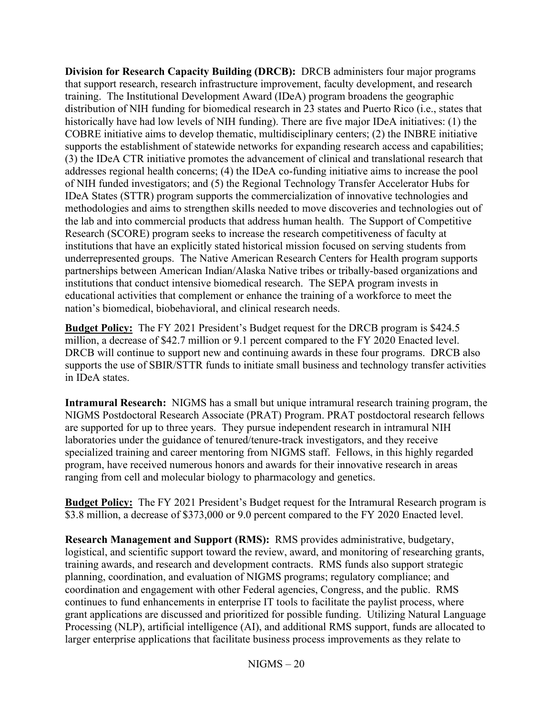**Division for Research Capacity Building (DRCB):** DRCB administers four major programs that support research, research infrastructure improvement, faculty development, and research training. The Institutional Development Award (IDeA) program broadens the geographic distribution of NIH funding for biomedical research in 23 states and Puerto Rico (i.e., states that historically have had low levels of NIH funding). There are five major IDeA initiatives: (1) the COBRE initiative aims to develop thematic, multidisciplinary centers; (2) the INBRE initiative supports the establishment of statewide networks for expanding research access and capabilities; (3) the IDeA CTR initiative promotes the advancement of clinical and translational research that addresses regional health concerns; (4) the IDeA co-funding initiative aims to increase the pool of NIH funded investigators; and (5) the Regional Technology Transfer Accelerator Hubs for IDeA States (STTR) program supports the commercialization of innovative technologies and methodologies and aims to strengthen skills needed to move discoveries and technologies out of the lab and into commercial products that address human health. The Support of Competitive Research (SCORE) program seeks to increase the research competitiveness of faculty at institutions that have an explicitly stated historical mission focused on serving students from underrepresented groups. The Native American Research Centers for Health program supports partnerships between American Indian/Alaska Native tribes or tribally-based organizations and institutions that conduct intensive biomedical research. The SEPA program invests in educational activities that complement or enhance the training of a workforce to meet the nation's biomedical, biobehavioral, and clinical research needs.

**Budget Policy:** The FY 2021 President's Budget request for the DRCB program is \$424.5 million, a decrease of \$42.7 million or 9.1 percent compared to the FY 2020 Enacted level. DRCB will continue to support new and continuing awards in these four programs. DRCB also supports the use of SBIR/STTR funds to initiate small business and technology transfer activities in IDeA states.

**Intramural Research:** NIGMS has a small but unique intramural research training program, the NIGMS Postdoctoral Research Associate (PRAT) Program. PRAT postdoctoral research fellows are supported for up to three years. They pursue independent research in intramural NIH laboratories under the guidance of tenured/tenure-track investigators, and they receive specialized training and career mentoring from NIGMS staff. Fellows, in this highly regarded program, have received numerous honors and awards for their innovative research in areas ranging from cell and molecular biology to pharmacology and genetics.

**Budget Policy:** The FY 2021 President's Budget request for the Intramural Research program is \$3.8 million, a decrease of \$373,000 or 9.0 percent compared to the FY 2020 Enacted level.

**Research Management and Support (RMS):** RMS provides administrative, budgetary, logistical, and scientific support toward the review, award, and monitoring of researching grants, training awards, and research and development contracts. RMS funds also support strategic planning, coordination, and evaluation of NIGMS programs; regulatory compliance; and coordination and engagement with other Federal agencies, Congress, and the public. RMS continues to fund enhancements in enterprise IT tools to facilitate the paylist process, where grant applications are discussed and prioritized for possible funding. Utilizing Natural Language Processing (NLP), artificial intelligence (AI), and additional RMS support, funds are allocated to larger enterprise applications that facilitate business process improvements as they relate to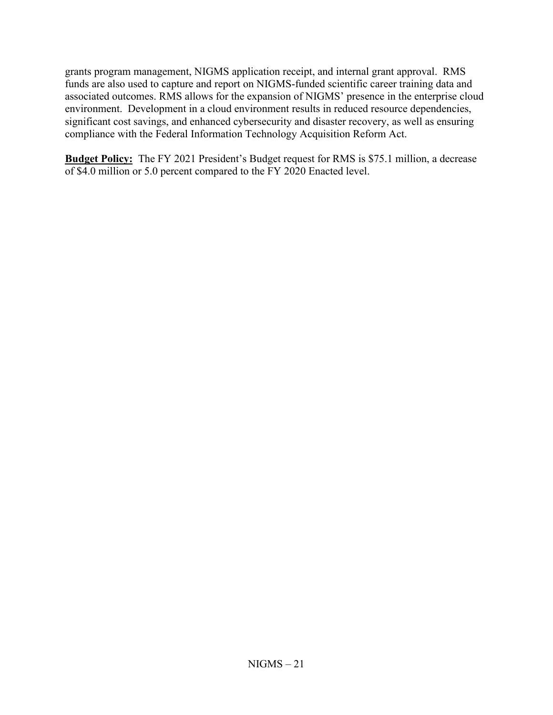grants program management, NIGMS application receipt, and internal grant approval. RMS funds are also used to capture and report on NIGMS-funded scientific career training data and associated outcomes. RMS allows for the expansion of NIGMS' presence in the enterprise cloud environment. Development in a cloud environment results in reduced resource dependencies, significant cost savings, and enhanced cybersecurity and disaster recovery, as well as ensuring compliance with the Federal Information Technology Acquisition Reform Act.

**Budget Policy:** The FY 2021 President's Budget request for RMS is \$75.1 million, a decrease of \$4.0 million or 5.0 percent compared to the FY 2020 Enacted level.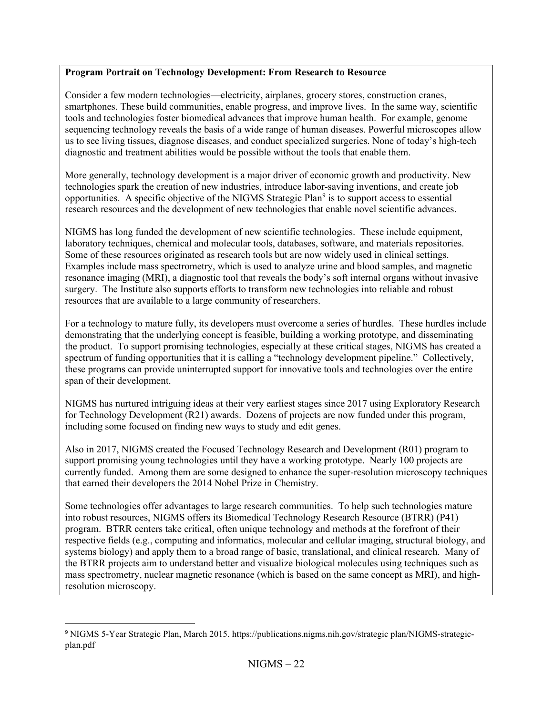### **Program Portrait on Technology Development: From Research to Resource**

Consider a few modern technologies—electricity, airplanes, grocery stores, construction cranes, smartphones. These build communities, enable progress, and improve lives. In the same way, scientific tools and technologies foster biomedical advances that improve human health. For example, genome sequencing technology reveals the basis of a wide range of human diseases. Powerful microscopes allow us to see living tissues, diagnose diseases, and conduct specialized surgeries. None of today's high-tech diagnostic and treatment abilities would be possible without the tools that enable them.

More generally, technology development is a major driver of economic growth and productivity. New technologies spark the creation of new industries, introduce labor-saving inventions, and create job opportunities. A specific objective of the NIGMS Strategic Plan<sup>[9](#page-21-0)</sup> is to support access to essential research resources and the development of new technologies that enable novel scientific advances.

NIGMS has long funded the development of new scientific technologies. These include equipment, laboratory techniques, chemical and molecular tools, databases, software, and materials repositories. Some of these resources originated as research tools but are now widely used in clinical settings. Examples include mass spectrometry, which is used to analyze urine and blood samples, and magnetic resonance imaging (MRI), a diagnostic tool that reveals the body's soft internal organs without invasive surgery. The Institute also supports efforts to transform new technologies into reliable and robust resources that are available to a large community of researchers.

For a technology to mature fully, its developers must overcome a series of hurdles. These hurdles include demonstrating that the underlying concept is feasible, building a working prototype, and disseminating the product. To support promising technologies, especially at these critical stages, NIGMS has created a spectrum of funding opportunities that it is calling a "technology development pipeline." Collectively, these programs can provide uninterrupted support for innovative tools and technologies over the entire span of their development.

NIGMS has nurtured intriguing ideas at their very earliest stages since 2017 using Exploratory Research for Technology Development (R21) awards. Dozens of projects are now funded under this program, including some focused on finding new ways to study and edit genes.

Also in 2017, NIGMS created the Focused Technology Research and Development (R01) program to support promising young technologies until they have a working prototype. Nearly 100 projects are currently funded. Among them are some designed to enhance the super-resolution microscopy techniques that earned their developers the 2014 Nobel Prize in Chemistry.

Some technologies offer advantages to large research communities. To help such technologies mature into robust resources, NIGMS offers its Biomedical Technology Research Resource (BTRR) (P41) program. BTRR centers take critical, often unique technology and methods at the forefront of their respective fields (e.g., computing and informatics, molecular and cellular imaging, structural biology, and systems biology) and apply them to a broad range of basic, translational, and clinical research. Many of the BTRR projects aim to understand better and visualize biological molecules using techniques such as mass spectrometry, nuclear magnetic resonance (which is based on the same concept as MRI), and highresolution microscopy.

<span id="page-21-0"></span><sup>9</sup> NIGMS 5-Year Strategic Plan, March 2015. https://publications.nigms.nih.gov/strategic plan/NIGMS-strategicplan.pdf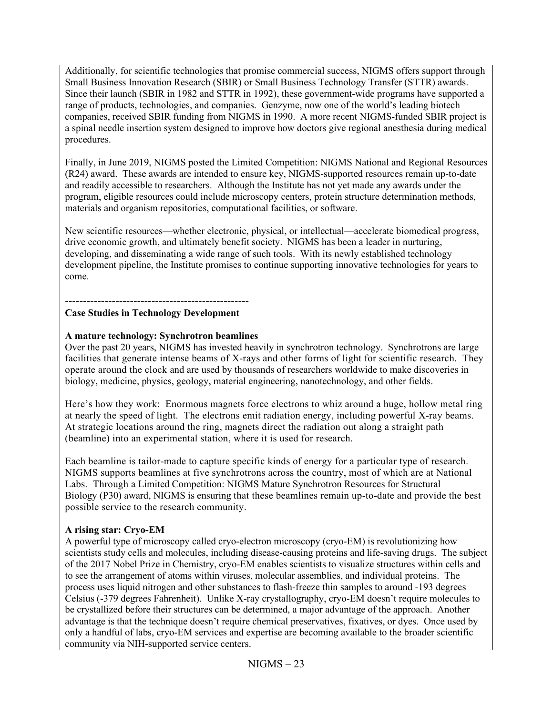Additionally, for scientific technologies that promise commercial success, NIGMS offers support through Small Business Innovation Research (SBIR) or Small Business Technology Transfer (STTR) awards. Since their launch (SBIR in 1982 and STTR in 1992), these government-wide programs have supported a range of products, technologies, and companies. Genzyme, now one of the world's leading biotech companies, received SBIR funding from NIGMS in 1990. A more recent NIGMS-funded SBIR project is a spinal needle insertion system designed to improve how doctors give regional anesthesia during medical procedures.

Finally, in June 2019, NIGMS posted the Limited Competition: NIGMS National and Regional Resources (R24) award. These awards are intended to ensure key, NIGMS-supported resources remain up-to-date and readily accessible to researchers. Although the Institute has not yet made any awards under the program, eligible resources could include microscopy centers, protein structure determination methods, materials and organism repositories, computational facilities, or software.

New scientific resources—whether electronic, physical, or intellectual—accelerate biomedical progress, drive economic growth, and ultimately benefit society. NIGMS has been a leader in nurturing, developing, and disseminating a wide range of such tools. With its newly established technology development pipeline, the Institute promises to continue supporting innovative technologies for years to come.

---------------------------------------------------

## **Case Studies in Technology Development**

### **A mature technology: Synchrotron beamlines**

Over the past 20 years, NIGMS has invested heavily in synchrotron technology. Synchrotrons are large facilities that generate intense beams of X-rays and other forms of light for scientific research. They operate around the clock and are used by thousands of researchers worldwide to make discoveries in biology, medicine, physics, geology, material engineering, nanotechnology, and other fields.

Here's how they work: Enormous magnets force electrons to whiz around a huge, hollow metal ring at nearly the speed of light. The electrons emit radiation energy, including powerful X-ray beams. At strategic locations around the ring, magnets direct the radiation out along a straight path (beamline) into an experimental station, where it is used for research.

Each beamline is tailor-made to capture specific kinds of energy for a particular type of research. NIGMS supports beamlines at five synchrotrons across the country, most of which are at National Labs. Through a Limited Competition: NIGMS Mature Synchrotron Resources for Structural Biology (P30) award, NIGMS is ensuring that these beamlines remain up-to-date and provide the best possible service to the research community.

### **A rising star: Cryo-EM**

A powerful type of microscopy called cryo-electron microscopy (cryo-EM) is revolutionizing how scientists study cells and molecules, including disease-causing proteins and life-saving drugs. The subject of the 2017 Nobel Prize in Chemistry, cryo-EM enables scientists to visualize structures within cells and to see the arrangement of atoms within viruses, molecular assemblies, and individual proteins. The process uses liquid nitrogen and other substances to flash-freeze thin samples to around -193 degrees Celsius (-379 degrees Fahrenheit). Unlike X-ray crystallography, cryo-EM doesn't require molecules to be crystallized before their structures can be determined, a major advantage of the approach. Another advantage is that the technique doesn't require chemical preservatives, fixatives, or dyes. Once used by only a handful of labs, cryo-EM services and expertise are becoming available to the broader scientific community via NIH-supported service centers.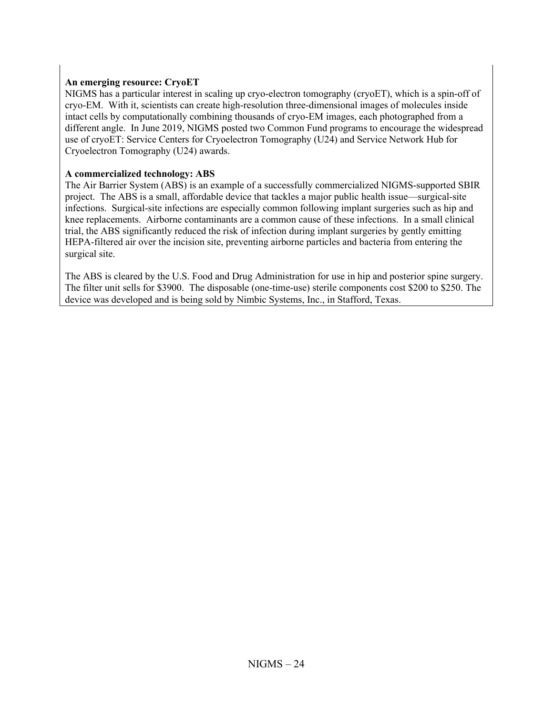#### **An emerging resource: CryoET**

NIGMS has a particular interest in scaling up cryo-electron tomography (cryoET), which is a spin-off of cryo-EM. With it, scientists can create high-resolution three-dimensional images of molecules inside intact cells by computationally combining thousands of cryo-EM images, each photographed from a different angle. In June 2019, NIGMS posted two Common Fund programs to encourage the widespread use of cryoET: Service Centers for Cryoelectron Tomography (U24) and Service Network Hub for Cryoelectron Tomography (U24) awards.

#### **A commercialized technology: ABS**

The Air Barrier System (ABS) is an example of a successfully commercialized NIGMS-supported SBIR project. The ABS is a small, affordable device that tackles a major public health issue—surgical-site infections. Surgical-site infections are especially common following implant surgeries such as hip and knee replacements. Airborne contaminants are a common cause of these infections. In a small clinical trial, the ABS significantly reduced the risk of infection during implant surgeries by gently emitting HEPA-filtered air over the incision site, preventing airborne particles and bacteria from entering the surgical site.

The ABS is cleared by the U.S. Food and Drug Administration for use in hip and posterior spine surgery. The filter unit sells for \$3900. The disposable (one-time-use) sterile components cost \$200 to \$250. The device was developed and is being sold by Nimbic Systems, Inc., in Stafford, Texas.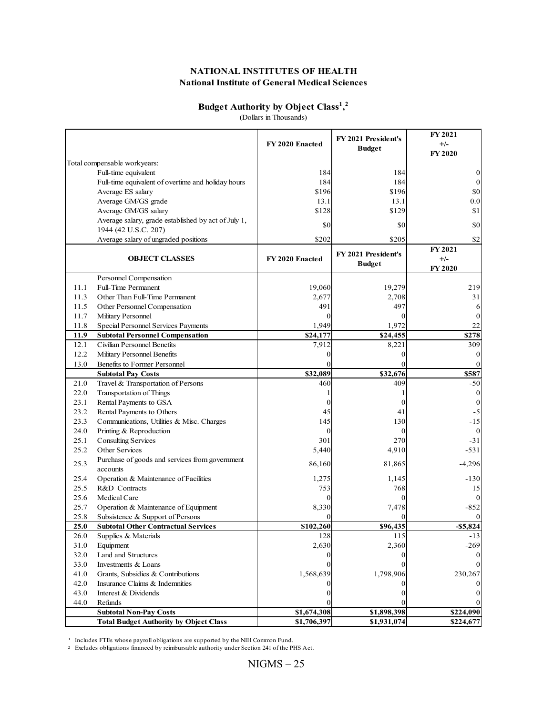#### **Budget Authority by Object Class<sup>1</sup> , 2**

(Dollars in Thousands)

|      |                                                                             | FY 2020 Enacted | FY 2021 President's<br><b>Budget</b> | <b>FY 2021</b><br>$+/-$<br><b>FY 2020</b> |
|------|-----------------------------------------------------------------------------|-----------------|--------------------------------------|-------------------------------------------|
|      | Total compensable workyears:                                                |                 |                                      |                                           |
|      | Full-time equivalent                                                        | 184             | 184                                  | 0                                         |
|      | Full-time equivalent of overtime and holiday hours                          | 184             | 184                                  | $\mathbf{0}$                              |
|      | Average ES salary                                                           | \$196           | \$196                                | \$0                                       |
|      | Average GM/GS grade                                                         | 13.1            | 13.1                                 | 0.0                                       |
|      | Average GM/GS salary                                                        | \$128           | \$129                                | \$1                                       |
|      | Average salary, grade established by act of July 1,<br>1944 (42 U.S.C. 207) | \$0             | \$0                                  | \$0                                       |
|      | Average salary of ungraded positions                                        | \$202           | \$205                                | \$2                                       |
|      | <b>OBJECT CLASSES</b>                                                       | FY 2020 Enacted | FY 2021 President's<br><b>Budget</b> | <b>FY 2021</b><br>$+/-$<br><b>FY 2020</b> |
|      | Personnel Compensation                                                      |                 |                                      |                                           |
| 11.1 | <b>Full-Time Permanent</b>                                                  | 19,060          | 19,279                               | 219                                       |
| 11.3 | Other Than Full-Time Permanent                                              | 2,677           | 2,708                                | 31                                        |
| 11.5 | Other Personnel Compensation                                                | 491             | 497                                  | 6                                         |
| 11.7 | Military Personnel                                                          | 0               | 0                                    | $\mathbf{0}$                              |
| 11.8 | Special Personnel Services Payments                                         | 1,949           | 1,972                                | 22                                        |
| 11.9 | <b>Subtotal Personnel Compensation</b>                                      | \$24,177        | \$24,455                             | \$278                                     |
| 12.1 | Civilian Personnel Benefits                                                 | 7,912           | 8,221                                | 309                                       |
| 12.2 | Military Personnel Benefits                                                 | 0               | 0                                    | 0                                         |
| 13.0 | Benefits to Former Personnel                                                |                 |                                      |                                           |
|      | <b>Subtotal Pay Costs</b>                                                   | \$32,089        | \$32,676                             | \$587                                     |
| 21.0 | Travel & Transportation of Persons                                          | 460             | 409                                  | $-50$                                     |
| 22.0 | Transportation of Things                                                    |                 |                                      | $\bf{0}$                                  |
| 23.1 | Rental Payments to GSA                                                      | 0               | 0                                    | $\boldsymbol{0}$                          |
| 23.2 | Rental Payments to Others                                                   | 45              | 41                                   | $-5$                                      |
| 23.3 | Communications, Utilities & Misc. Charges                                   | 145             | 130                                  | $-15$                                     |
| 24.0 | Printing & Reproduction                                                     | $\mathbf{0}$    | $\Omega$                             | $\bf{0}$                                  |
| 25.1 | <b>Consulting Services</b>                                                  | 301             | 270                                  | $-31$                                     |
| 25.2 | Other Services                                                              | 5,440           | 4,910                                | $-531$                                    |
| 25.3 | Purchase of goods and services from government<br>accounts                  | 86,160          | 81,865                               | $-4,296$                                  |
| 25.4 | Operation & Maintenance of Facilities                                       | 1,275           | 1,145                                | $-130$                                    |
| 25.5 | R&D Contracts                                                               | 753             | 768                                  | 15                                        |
| 25.6 | Medical Care                                                                | 0               | $\Omega$                             |                                           |
| 25.7 | Operation & Maintenance of Equipment                                        | 8,330           | 7,478                                | $-852$                                    |
| 25.8 | Subsistence & Support of Persons                                            |                 |                                      |                                           |
| 25.0 | <b>Subtotal Other Contractual Services</b>                                  | \$102,260       | \$96,435                             | $- $5,824$                                |
| 26.0 | Supplies & Materials                                                        | 128             | 115                                  | -13                                       |
| 31.0 | Equipment                                                                   | 2,630           | 2,360                                | $-269$                                    |
| 32.0 | Land and Structures                                                         |                 |                                      |                                           |
| 33.0 | Investments & Loans                                                         |                 |                                      |                                           |
| 41.0 | Grants, Subsidies & Contributions                                           | 1,568,639       | 1,798,906                            | 230,267                                   |
| 42.0 | Insurance Claims & Indemnities                                              |                 |                                      |                                           |
| 43.0 | Interest & Dividends                                                        |                 | 0                                    |                                           |
| 44.0 | Refunds<br><b>Subtotal Non-Pay Costs</b>                                    | \$1,674,308     | \$1,898,398                          | \$224,090                                 |
|      |                                                                             |                 | \$1,931,074                          | \$224,677                                 |

 $\mathbf{1}$ Includes FTEs whose payroll obligations are supported by the NIH Common Fund.

<sup>2</sup> Excludes obligations financed by reimbursable authority under Section 241 of the PHS Act.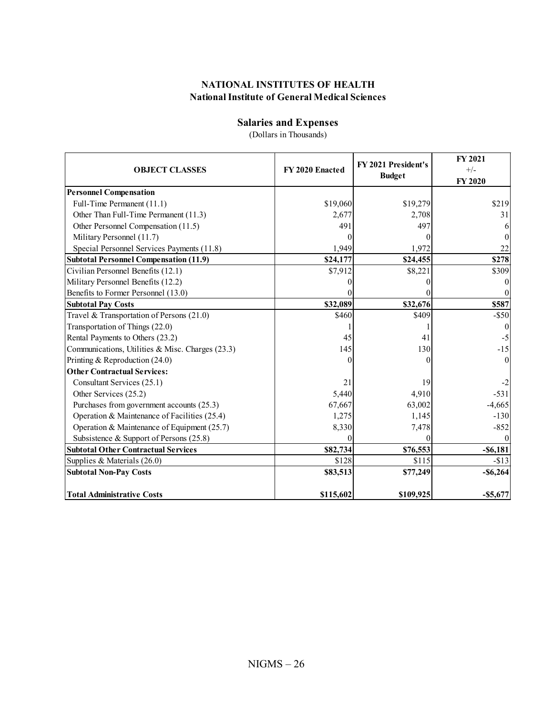#### **Salaries and Expenses**

(Dollars in Thousands)

| <b>OBJECT CLASSES</b>                            | FY 2020 Enacted | FY 2021 President's<br><b>Budget</b> | FY 2021<br>$+/-$<br>FY 2020 |  |
|--------------------------------------------------|-----------------|--------------------------------------|-----------------------------|--|
| <b>Personnel Compensation</b>                    |                 |                                      |                             |  |
| Full-Time Permanent (11.1)                       | \$19,060        | \$19,279                             | \$219                       |  |
| Other Than Full-Time Permanent (11.3)            | 2,677           | 2,708                                | 31                          |  |
| Other Personnel Compensation (11.5)              | 491             | 497                                  | 6                           |  |
| Military Personnel (11.7)                        |                 |                                      | $\Omega$                    |  |
| Special Personnel Services Payments (11.8)       | 1.949           | 1,972                                | 22                          |  |
| <b>Subtotal Personnel Compensation (11.9)</b>    | \$24,177        | \$24,455                             | \$278                       |  |
| Civilian Personnel Benefits (12.1)               | \$7,912         | \$8,221                              | \$309                       |  |
| Military Personnel Benefits (12.2)               |                 |                                      | $\theta$                    |  |
| Benefits to Former Personnel (13.0)              |                 |                                      |                             |  |
| <b>Subtotal Pay Costs</b>                        | \$32,089        | \$32,676                             | \$587                       |  |
| Travel & Transportation of Persons (21.0)        | \$460           | \$409                                | $-$ \$50                    |  |
| Transportation of Things (22.0)                  |                 |                                      | $\Omega$                    |  |
| Rental Payments to Others (23.2)                 | 45              | 41                                   | $-5$                        |  |
| Communications, Utilities & Misc. Charges (23.3) | 145             | 130                                  | $-15$                       |  |
| Printing & Reproduction $(24.0)$                 |                 |                                      | $\theta$                    |  |
| <b>Other Contractual Services:</b>               |                 |                                      |                             |  |
| Consultant Services (25.1)                       | 21              | 19                                   | $-2$                        |  |
| Other Services (25.2)                            | 5,440           | 4,910                                | $-531$                      |  |
| Purchases from government accounts (25.3)        | 67,667          | 63,002                               | $-4,665$                    |  |
| Operation & Maintenance of Facilities (25.4)     | 1,275           | 1,145                                | $-130$                      |  |
| Operation & Maintenance of Equipment (25.7)      | 8,330           | 7,478                                | $-852$                      |  |
| Subsistence & Support of Persons $(25.8)$        |                 |                                      |                             |  |
| <b>Subtotal Other Contractual Services</b>       | \$82,734        | \$76,553                             | $-$ \$6,181                 |  |
| Supplies & Materials (26.0)                      | \$128           | \$115                                | $- $13$                     |  |
| <b>Subtotal Non-Pay Costs</b>                    | \$83,513        | \$77,249                             | $-$ \$6,264                 |  |
| <b>Total Administrative Costs</b>                | \$115,602       | \$109,925                            | $- $5,677$                  |  |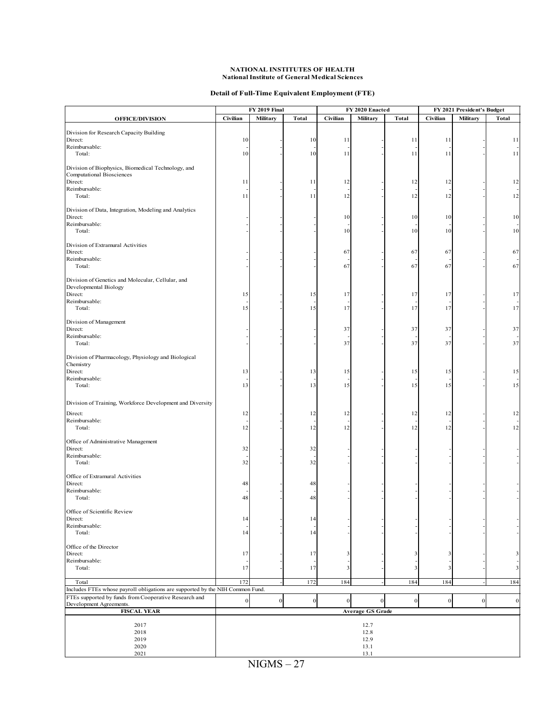#### **Detail of Full-Time Equivalent Employment (FTE)**

|                                                                               | <b>FY 2019 Final</b> |              | FY 2020 Enacted |                         | FY 2021 President's Budget |              |              |              |                         |
|-------------------------------------------------------------------------------|----------------------|--------------|-----------------|-------------------------|----------------------------|--------------|--------------|--------------|-------------------------|
| <b>OFFICE/DIVISION</b>                                                        | Civilian             | Military     | <b>Total</b>    | Civilian                | Military                   | <b>Total</b> | Civilian     | Military     | <b>Total</b>            |
| Division for Research Capacity Building                                       |                      |              |                 |                         |                            |              |              |              |                         |
| Direct:                                                                       | 10                   |              | 10              | 11                      |                            | 11           | 11           |              | 11                      |
| Reimbursable:                                                                 |                      |              |                 |                         |                            |              |              |              |                         |
| Total:                                                                        | 10                   |              | 10              | 11                      |                            | 11           | 11           |              | 11                      |
| Division of Biophysics, Biomedical Technology, and                            |                      |              |                 |                         |                            |              |              |              |                         |
| <b>Computational Biosciences</b>                                              |                      |              |                 |                         |                            |              |              |              |                         |
| Direct:                                                                       | 11                   |              | 11              | 12                      |                            | 12           | 12           |              | 12                      |
| Reimbursable:<br>Total:                                                       | 11                   |              | 11              | 12                      |                            | 12           | 12           |              | 12                      |
|                                                                               |                      |              |                 |                         |                            |              |              |              |                         |
| Division of Data, Integration, Modeling and Analytics                         |                      |              |                 |                         |                            |              |              |              |                         |
| Direct:<br>Reimbursable:                                                      |                      |              |                 | 10                      |                            | 10           | 10           |              | 10                      |
| Total:                                                                        |                      |              |                 | 10                      |                            | 10           | 10           |              | 10                      |
|                                                                               |                      |              |                 |                         |                            |              |              |              |                         |
| Division of Extramural Activities<br>Direct:                                  |                      |              |                 | 67                      |                            | 67           | 67           |              | 67                      |
| Reimbursable:                                                                 |                      |              |                 |                         |                            |              |              |              |                         |
| Total:                                                                        |                      |              |                 | 67                      |                            | 67           | 67           |              | 67                      |
| Division of Genetics and Molecular, Cellular, and                             |                      |              |                 |                         |                            |              |              |              |                         |
| Developmental Biology                                                         |                      |              |                 |                         |                            |              |              |              |                         |
| Direct:                                                                       | 15                   |              | 15              | 17                      |                            | 17           | 17           |              | 17                      |
| Reimbursable:                                                                 |                      |              |                 |                         |                            |              |              |              |                         |
| Total:                                                                        | 15                   |              | 15              | 17                      |                            | 17           | 17           |              | 17                      |
| Division of Management                                                        |                      |              |                 |                         |                            |              |              |              |                         |
| Direct:                                                                       |                      |              |                 | 37                      |                            | 37           | 37           |              | 37                      |
| Reimbursable:<br>Total:                                                       |                      |              |                 | 37                      |                            | 37           | 37           |              | 37                      |
|                                                                               |                      |              |                 |                         |                            |              |              |              |                         |
| Division of Pharmacology, Physiology and Biological                           |                      |              |                 |                         |                            |              |              |              |                         |
| Chemistry                                                                     |                      |              |                 |                         |                            |              |              |              |                         |
| Direct:<br>Reimbursable:                                                      | 13                   |              | 13              | 15                      |                            | 15           | 15           |              | 15                      |
| Total:                                                                        | 13                   |              | 13              | 15                      |                            | 15           | 15           |              | 15                      |
|                                                                               |                      |              |                 |                         |                            |              |              |              |                         |
| Division of Training, Workforce Development and Diversity                     |                      |              |                 |                         |                            |              |              |              |                         |
| Direct:                                                                       | 12                   |              | 12              | 12                      |                            | 12           | 12           |              | 12                      |
| Reimbursable:                                                                 |                      |              |                 |                         |                            |              |              |              |                         |
| Total:                                                                        | 12                   |              | 12              | 12                      |                            | 12           | 12           |              | 12                      |
| Office of Administrative Management                                           |                      |              |                 |                         |                            |              |              |              |                         |
| Direct:                                                                       | 32                   |              | 32              |                         |                            |              |              |              |                         |
| Reimbursable:<br>Total:                                                       | 32                   |              | 32              |                         |                            |              |              |              |                         |
|                                                                               |                      |              |                 |                         |                            |              |              |              |                         |
| Office of Extramural Activities                                               |                      |              |                 |                         |                            |              |              |              |                         |
| Direct:<br>Reimbursable:                                                      | 48                   |              | 48              |                         |                            |              |              |              |                         |
| Total:                                                                        | 48                   |              | 48              |                         |                            |              |              |              |                         |
|                                                                               |                      |              |                 |                         |                            |              |              |              |                         |
| Office of Scientific Review<br>Direct:                                        | 14                   |              | 14              |                         |                            |              |              |              |                         |
| Reimbursable:                                                                 |                      |              |                 |                         |                            |              |              |              |                         |
| Total:                                                                        | 14                   |              | 14              |                         |                            |              |              |              |                         |
| Office of the Director                                                        |                      |              |                 |                         |                            |              |              |              |                         |
| Direct:                                                                       | 17                   |              | 17              | 3                       |                            | 3            | 3            |              | 3                       |
| Reimbursable:                                                                 |                      |              |                 |                         |                            |              |              |              |                         |
| Total:                                                                        | 17                   |              | 17              | $\overline{\mathbf{3}}$ |                            | 3            | 3            |              | $\overline{\mathbf{3}}$ |
| Total                                                                         | 172                  |              | 172             | 184                     |                            | 184          | 184          |              | 184                     |
| Includes FTEs whose payroll obligations are supported by the NIH Common Fund. |                      |              |                 |                         |                            |              |              |              |                         |
| FTEs supported by funds from Cooperative Research and                         | $\mathbf{0}$         | $\mathbf{0}$ | $\overline{0}$  | $\overline{0}$          | $\boldsymbol{0}$           | $\mathbf{0}$ | $\mathbf{0}$ | $\mathbf{0}$ | $\mathbf{0}$            |
| Development Agreements.<br><b>FISCAL YEAR</b>                                 |                      |              |                 |                         | <b>Average GS Grade</b>    |              |              |              |                         |
|                                                                               |                      |              |                 |                         |                            |              |              |              |                         |
| 2017                                                                          |                      |              |                 |                         | 12.7                       |              |              |              |                         |
| 2018<br>2019                                                                  | 12.8                 |              |                 |                         |                            |              |              |              |                         |
| 2020                                                                          | 12.9<br>13.1         |              |                 |                         |                            |              |              |              |                         |
| 2021                                                                          |                      |              |                 |                         | 13.1                       |              |              |              |                         |